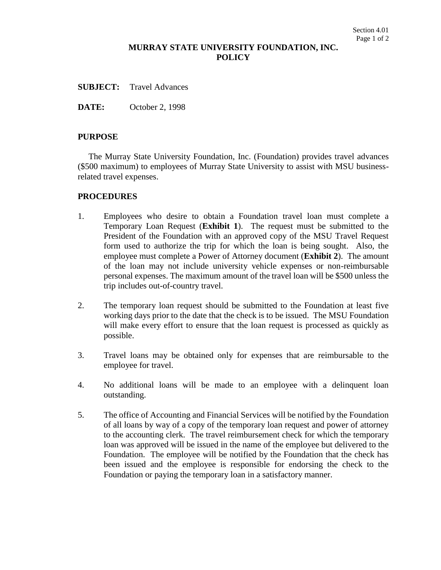# **MURRAY STATE UNIVERSITY FOUNDATION, INC. POLICY**

**SUBJECT:** Travel Advances

**DATE:** October 2, 1998

## **PURPOSE**

The Murray State University Foundation, Inc. (Foundation) provides travel advances (\$500 maximum) to employees of Murray State University to assist with MSU businessrelated travel expenses.

## **PROCEDURES**

- 1. Employees who desire to obtain a Foundation travel loan must complete a Temporary Loan Request (**Exhibit 1**). The request must be submitted to the President of the Foundation with an approved copy of the MSU Travel Request form used to authorize the trip for which the loan is being sought. Also, the employee must complete a Power of Attorney document (**Exhibit 2**). The amount of the loan may not include university vehicle expenses or non-reimbursable personal expenses. The maximum amount of the travel loan will be \$500 unless the trip includes out-of-country travel.
- 2. The temporary loan request should be submitted to the Foundation at least five working days prior to the date that the check is to be issued. The MSU Foundation will make every effort to ensure that the loan request is processed as quickly as possible.
- 3. Travel loans may be obtained only for expenses that are reimbursable to the employee for travel.
- 4. No additional loans will be made to an employee with a delinquent loan outstanding.
- 5. The office of Accounting and Financial Services will be notified by the Foundation of all loans by way of a copy of the temporary loan request and power of attorney to the accounting clerk. The travel reimbursement check for which the temporary loan was approved will be issued in the name of the employee but delivered to the Foundation. The employee will be notified by the Foundation that the check has been issued and the employee is responsible for endorsing the check to the Foundation or paying the temporary loan in a satisfactory manner.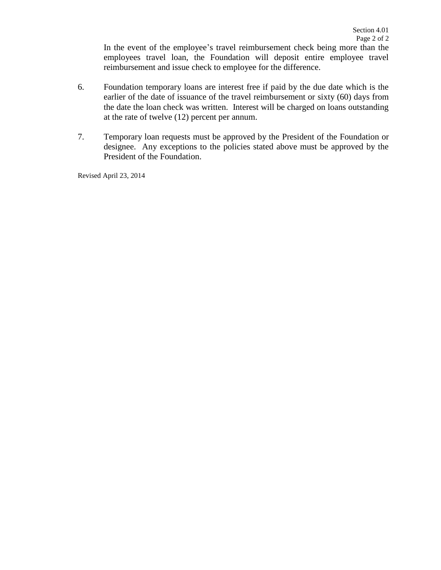In the event of the employee's travel reimbursement check being more than the employees travel loan, the Foundation will deposit entire employee travel reimbursement and issue check to employee for the difference.

- 6. Foundation temporary loans are interest free if paid by the due date which is the earlier of the date of issuance of the travel reimbursement or sixty (60) days from the date the loan check was written. Interest will be charged on loans outstanding at the rate of twelve (12) percent per annum.
- 7. Temporary loan requests must be approved by the President of the Foundation or designee. Any exceptions to the policies stated above must be approved by the President of the Foundation.

Revised April 23, 2014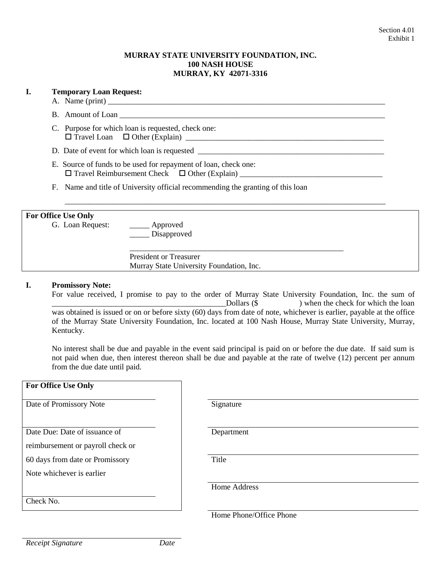#### **MURRAY STATE UNIVERSITY FOUNDATION, INC. 100 NASH HOUSE MURRAY, KY 42071-3316**

# **I. Temporary Loan Request:**

- A. Name  $(\text{print})$
- B. Amount of Loan
- C. Purpose for which loan is requested, check one: Travel Loan Other (Explain) \_\_\_\_\_\_\_\_\_\_\_\_\_\_\_\_\_\_\_\_\_\_\_\_\_\_\_\_\_\_\_\_\_\_\_\_\_\_\_\_\_\_\_\_\_\_\_\_\_\_

D. Date of event for which loan is requested \_\_\_\_\_\_\_\_\_\_\_\_\_\_\_\_\_\_\_\_\_\_\_\_\_\_\_\_\_\_\_\_\_\_\_\_\_\_\_\_\_\_\_\_\_\_\_

- E. Source of funds to be used for repayment of loan, check one: Travel Reimbursement Check Other (Explain) \_\_\_\_\_\_\_\_\_\_\_\_\_\_\_\_\_\_\_\_\_\_\_\_\_\_\_\_\_\_\_\_\_\_\_\_
- F. Name and title of University official recommending the granting of this loan

## **For Office Use Only**

G. Loan Request: \_\_\_\_\_\_\_\_ Approved

\_\_\_\_\_ Disapproved

President or Treasurer Murray State University Foundation, Inc.

#### **I. Promissory Note:**

For value received, I promise to pay to the order of Murray State University Foundation, Inc. the sum of  $\Delta$ Dollars ( $\$ ) when the check for which the loan was obtained is issued or on or before sixty (60) days from date of note, whichever is earlier, payable at the office of the Murray State University Foundation, Inc. located at 100 Nash House, Murray State University, Murray, Kentucky.

\_\_\_\_\_\_\_\_\_\_\_\_\_\_\_\_\_\_\_\_\_\_\_\_\_\_\_\_\_\_\_\_\_\_\_\_\_\_\_\_\_\_\_\_\_\_\_\_\_\_\_\_\_\_

\_\_\_\_\_\_\_\_\_\_\_\_\_\_\_\_\_\_\_\_\_\_\_\_\_\_\_\_\_\_\_\_\_\_\_\_\_\_\_\_\_\_\_\_\_\_\_\_\_\_\_\_\_\_\_\_\_\_\_\_\_\_\_\_\_\_\_\_\_\_\_\_\_\_\_\_\_\_\_\_\_

No interest shall be due and payable in the event said principal is paid on or before the due date. If said sum is not paid when due, then interest thereon shall be due and payable at the rate of twelve (12) percent per annum from the due date until paid.

| <b>For Office Use Only</b>        |       |
|-----------------------------------|-------|
| Date of Promissory Note           | Sign  |
| Date Due: Date of issuance of     | Depa  |
| reimbursement or payroll check or |       |
| 60 days from date or Promissory   | Title |
| Note whichever is earlier         |       |
|                                   |       |
| Check No.                         |       |

Signature

Department

Home Address

Home Phone/Office Phone